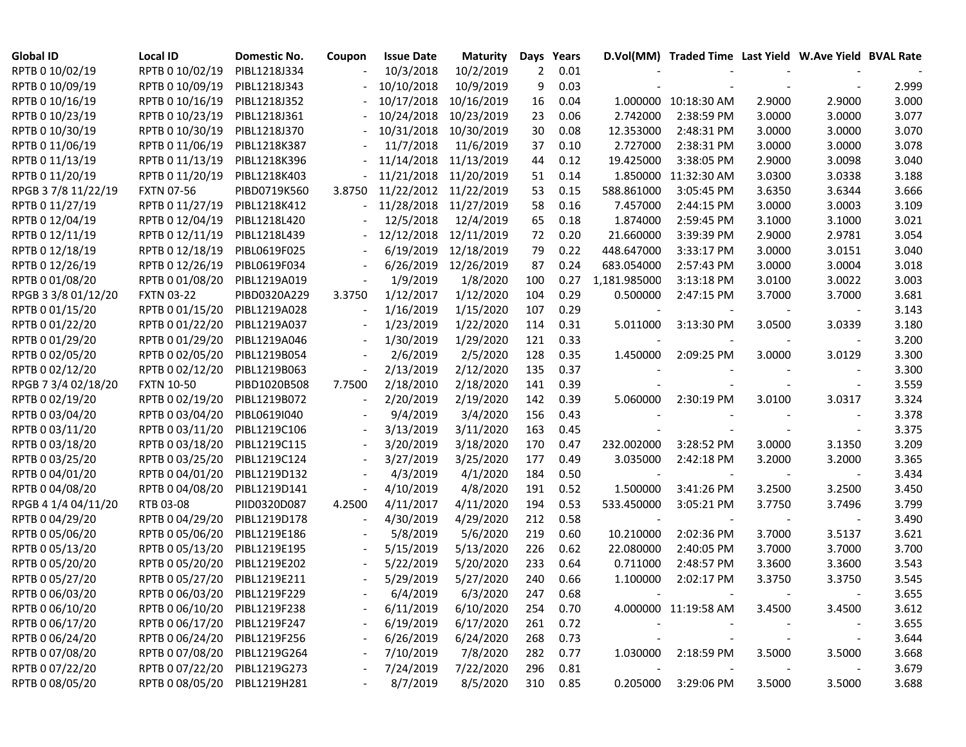| <b>Global ID</b>    | <b>Local ID</b>              | Domestic No. | Coupon | <b>Issue Date</b> | <b>Maturity</b>       | Days | Years    |              | D.Vol(MM) Traded Time Last Yield W.Ave Yield BVAL Rate |        |                          |       |
|---------------------|------------------------------|--------------|--------|-------------------|-----------------------|------|----------|--------------|--------------------------------------------------------|--------|--------------------------|-------|
| RPTB 0 10/02/19     | RPTB 0 10/02/19              | PIBL1218J334 |        | 10/3/2018         | 10/2/2019             | 2    | 0.01     |              |                                                        |        |                          |       |
| RPTB 0 10/09/19     | RPTB 0 10/09/19              | PIBL1218J343 |        | 10/10/2018        | 10/9/2019             | 9    | 0.03     |              |                                                        |        |                          | 2.999 |
| RPTB 0 10/16/19     | RPTB 0 10/16/19              | PIBL1218J352 |        | 10/17/2018        | 10/16/2019            | 16   | 0.04     |              | 1.000000 10:18:30 AM                                   | 2.9000 | 2.9000                   | 3.000 |
| RPTB 0 10/23/19     | RPTB 0 10/23/19              | PIBL1218J361 |        | 10/24/2018        | 10/23/2019            | 23   | 0.06     | 2.742000     | 2:38:59 PM                                             | 3.0000 | 3.0000                   | 3.077 |
| RPTB 0 10/30/19     | RPTB 0 10/30/19              | PIBL1218J370 |        | 10/31/2018        | 10/30/2019            | 30   | 0.08     | 12.353000    | 2:48:31 PM                                             | 3.0000 | 3.0000                   | 3.070 |
| RPTB 0 11/06/19     | RPTB 0 11/06/19              | PIBL1218K387 |        | 11/7/2018         | 11/6/2019             | 37   | 0.10     | 2.727000     | 2:38:31 PM                                             | 3.0000 | 3.0000                   | 3.078 |
| RPTB 0 11/13/19     | RPTB 0 11/13/19              | PIBL1218K396 |        | 11/14/2018        | 11/13/2019            | 44   | 0.12     | 19.425000    | 3:38:05 PM                                             | 2.9000 | 3.0098                   | 3.040 |
| RPTB 0 11/20/19     | RPTB 0 11/20/19              | PIBL1218K403 |        | 11/21/2018        | 11/20/2019            | 51   | 0.14     |              | 1.850000 11:32:30 AM                                   | 3.0300 | 3.0338                   | 3.188 |
| RPGB 37/8 11/22/19  | <b>FXTN 07-56</b>            | PIBD0719K560 | 3.8750 |                   | 11/22/2012 11/22/2019 | 53   | 0.15     | 588.861000   | 3:05:45 PM                                             | 3.6350 | 3.6344                   | 3.666 |
| RPTB 0 11/27/19     | RPTB 0 11/27/19              | PIBL1218K412 |        | 11/28/2018        | 11/27/2019            | 58   | 0.16     | 7.457000     | 2:44:15 PM                                             | 3.0000 | 3.0003                   | 3.109 |
| RPTB 0 12/04/19     | RPTB 0 12/04/19              | PIBL1218L420 |        | 12/5/2018         | 12/4/2019             | 65   | 0.18     | 1.874000     | 2:59:45 PM                                             | 3.1000 | 3.1000                   | 3.021 |
| RPTB 0 12/11/19     | RPTB 0 12/11/19              | PIBL1218L439 |        | 12/12/2018        | 12/11/2019            | 72   | 0.20     | 21.660000    | 3:39:39 PM                                             | 2.9000 | 2.9781                   | 3.054 |
| RPTB 0 12/18/19     | RPTB 0 12/18/19              | PIBL0619F025 |        | 6/19/2019         | 12/18/2019            | 79   | 0.22     | 448.647000   | 3:33:17 PM                                             | 3.0000 | 3.0151                   | 3.040 |
| RPTB 0 12/26/19     | RPTB 0 12/26/19              | PIBL0619F034 |        | 6/26/2019         | 12/26/2019            | 87   | 0.24     | 683.054000   | 2:57:43 PM                                             | 3.0000 | 3.0004                   | 3.018 |
| RPTB 0 01/08/20     | RPTB 0 01/08/20              | PIBL1219A019 |        | 1/9/2019          | 1/8/2020              | 100  | 0.27     | 1,181.985000 | 3:13:18 PM                                             | 3.0100 | 3.0022                   | 3.003 |
| RPGB 3 3/8 01/12/20 | <b>FXTN 03-22</b>            | PIBD0320A229 | 3.3750 | 1/12/2017         | 1/12/2020             | 104  | 0.29     | 0.500000     | 2:47:15 PM                                             | 3.7000 | 3.7000                   | 3.681 |
| RPTB 0 01/15/20     | RPTB 0 01/15/20              | PIBL1219A028 |        | 1/16/2019         | 1/15/2020             | 107  | 0.29     |              |                                                        |        |                          | 3.143 |
| RPTB 0 01/22/20     | RPTB 0 01/22/20              | PIBL1219A037 |        | 1/23/2019         | 1/22/2020             | 114  | 0.31     | 5.011000     | 3:13:30 PM                                             | 3.0500 | 3.0339                   | 3.180 |
| RPTB 0 01/29/20     | RPTB 0 01/29/20              | PIBL1219A046 |        | 1/30/2019         | 1/29/2020             | 121  | 0.33     |              |                                                        |        |                          | 3.200 |
| RPTB 0 02/05/20     | RPTB 0 02/05/20              | PIBL1219B054 |        | 2/6/2019          | 2/5/2020              | 128  | 0.35     | 1.450000     | 2:09:25 PM                                             | 3.0000 | 3.0129                   | 3.300 |
| RPTB 0 02/12/20     | RPTB 0 02/12/20              | PIBL1219B063 |        | 2/13/2019         | 2/12/2020             | 135  | 0.37     |              |                                                        |        |                          | 3.300 |
| RPGB 7 3/4 02/18/20 | <b>FXTN 10-50</b>            | PIBD1020B508 | 7.7500 | 2/18/2010         | 2/18/2020             | 141  | 0.39     |              |                                                        |        |                          | 3.559 |
| RPTB 0 02/19/20     | RPTB 0 02/19/20              | PIBL1219B072 |        | 2/20/2019         | 2/19/2020             | 142  | 0.39     | 5.060000     | 2:30:19 PM                                             | 3.0100 | 3.0317                   | 3.324 |
| RPTB 0 03/04/20     | RPTB 0 03/04/20              | PIBL0619I040 |        | 9/4/2019          | 3/4/2020              | 156  | 0.43     |              |                                                        |        |                          | 3.378 |
| RPTB 0 03/11/20     | RPTB 0 03/11/20              | PIBL1219C106 |        | 3/13/2019         | 3/11/2020             | 163  | 0.45     |              |                                                        |        | $\overline{\phantom{a}}$ | 3.375 |
| RPTB 0 03/18/20     | RPTB 0 03/18/20              | PIBL1219C115 |        | 3/20/2019         | 3/18/2020             | 170  | 0.47     | 232.002000   | 3:28:52 PM                                             | 3.0000 | 3.1350                   | 3.209 |
| RPTB 0 03/25/20     | RPTB 0 03/25/20              | PIBL1219C124 |        | 3/27/2019         | 3/25/2020             | 177  | 0.49     | 3.035000     | 2:42:18 PM                                             | 3.2000 | 3.2000                   | 3.365 |
| RPTB 0 04/01/20     | RPTB 0 04/01/20              | PIBL1219D132 |        | 4/3/2019          | 4/1/2020              | 184  | 0.50     |              |                                                        |        |                          | 3.434 |
| RPTB 0 04/08/20     | RPTB 0 04/08/20              | PIBL1219D141 |        | 4/10/2019         | 4/8/2020              | 191  | 0.52     | 1.500000     | 3:41:26 PM                                             | 3.2500 | 3.2500                   | 3.450 |
| RPGB 4 1/4 04/11/20 | RTB 03-08                    | PIID0320D087 | 4.2500 | 4/11/2017         | 4/11/2020             | 194  | 0.53     | 533.450000   | 3:05:21 PM                                             | 3.7750 | 3.7496                   | 3.799 |
| RPTB 0 04/29/20     | RPTB 0 04/29/20              | PIBL1219D178 |        | 4/30/2019         | 4/29/2020             | 212  | 0.58     |              |                                                        |        |                          | 3.490 |
| RPTB 0 05/06/20     | RPTB 0 05/06/20              | PIBL1219E186 |        | 5/8/2019          | 5/6/2020              | 219  | 0.60     | 10.210000    | 2:02:36 PM                                             | 3.7000 | 3.5137                   | 3.621 |
| RPTB 0 05/13/20     | RPTB 0 05/13/20              | PIBL1219E195 |        | 5/15/2019         | 5/13/2020             | 226  | 0.62     | 22.080000    | 2:40:05 PM                                             | 3.7000 | 3.7000                   | 3.700 |
| RPTB 0 05/20/20     | RPTB 0 05/20/20              | PIBL1219E202 |        | 5/22/2019         | 5/20/2020             | 233  | 0.64     | 0.711000     | 2:48:57 PM                                             | 3.3600 | 3.3600                   | 3.543 |
| RPTB 0 05/27/20     | RPTB 0 05/27/20              | PIBL1219E211 |        | 5/29/2019         | 5/27/2020             | 240  | 0.66     | 1.100000     | 2:02:17 PM                                             | 3.3750 | 3.3750                   | 3.545 |
| RPTB 0 06/03/20     | RPTB 0 06/03/20              | PIBL1219F229 |        | 6/4/2019          | 6/3/2020              | 247  | 0.68     |              |                                                        |        |                          | 3.655 |
| RPTB 0 06/10/20     | RPTB 0 06/10/20 PIBL1219F238 |              |        | 6/11/2019         | 6/10/2020             |      | 254 0.70 |              | 4.000000 11:19:58 AM                                   | 3.4500 | 3.4500                   | 3.612 |
| RPTB 0 06/17/20     | RPTB 0 06/17/20 PIBL1219F247 |              |        | 6/19/2019         | 6/17/2020             | 261  | 0.72     |              |                                                        |        |                          | 3.655 |
| RPTB 0 06/24/20     | RPTB 0 06/24/20 PIBL1219F256 |              |        | 6/26/2019         | 6/24/2020             | 268  | 0.73     |              |                                                        |        |                          | 3.644 |
| RPTB 0 07/08/20     | RPTB 0 07/08/20 PIBL1219G264 |              |        | 7/10/2019         | 7/8/2020              | 282  | 0.77     |              | 1.030000 2:18:59 PM                                    | 3.5000 | 3.5000                   | 3.668 |
| RPTB 0 07/22/20     | RPTB 0 07/22/20 PIBL1219G273 |              |        | 7/24/2019         | 7/22/2020             |      | 296 0.81 | $\sim$       |                                                        |        |                          | 3.679 |
| RPTB 0 08/05/20     | RPTB 0 08/05/20 PIBL1219H281 |              |        | 8/7/2019          | 8/5/2020              |      | 310 0.85 |              | 0.205000 3:29:06 PM                                    | 3.5000 | 3.5000                   | 3.688 |
|                     |                              |              |        |                   |                       |      |          |              |                                                        |        |                          |       |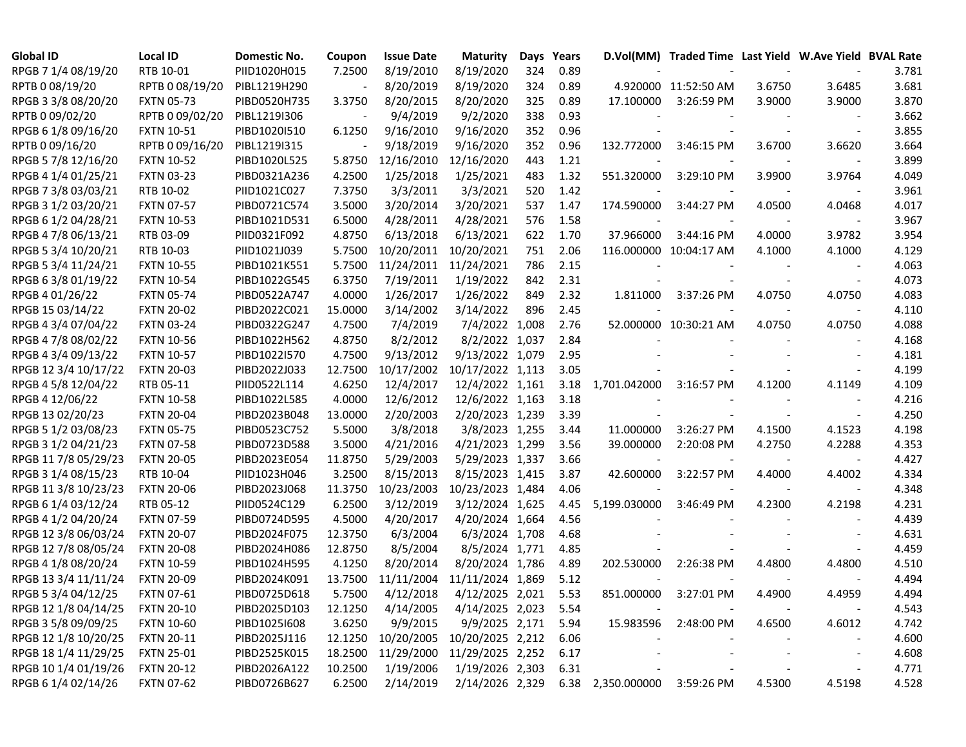| <b>Global ID</b>     | <b>Local ID</b>   | <b>Domestic No.</b> | Coupon  | <b>Issue Date</b>  | <b>Maturity</b>  |     | Days Years |                   | D.Vol(MM) Traded Time Last Yield W.Ave Yield BVAL Rate |        |                          |       |
|----------------------|-------------------|---------------------|---------|--------------------|------------------|-----|------------|-------------------|--------------------------------------------------------|--------|--------------------------|-------|
| RPGB 7 1/4 08/19/20  | RTB 10-01         | PIID1020H015        | 7.2500  | 8/19/2010          | 8/19/2020        | 324 | 0.89       |                   |                                                        |        |                          | 3.781 |
| RPTB 0 08/19/20      | RPTB 0 08/19/20   | PIBL1219H290        |         | 8/20/2019          | 8/19/2020        | 324 | 0.89       |                   | 4.920000 11:52:50 AM                                   | 3.6750 | 3.6485                   | 3.681 |
| RPGB 3 3/8 08/20/20  | <b>FXTN 05-73</b> | PIBD0520H735        | 3.3750  | 8/20/2015          | 8/20/2020        | 325 | 0.89       | 17.100000         | 3:26:59 PM                                             | 3.9000 | 3.9000                   | 3.870 |
| RPTB 0 09/02/20      | RPTB 0 09/02/20   | PIBL1219I306        |         | 9/4/2019           | 9/2/2020         | 338 | 0.93       |                   |                                                        |        |                          | 3.662 |
| RPGB 6 1/8 09/16/20  | <b>FXTN 10-51</b> | PIBD1020I510        | 6.1250  | 9/16/2010          | 9/16/2020        | 352 | 0.96       |                   |                                                        |        |                          | 3.855 |
| RPTB 0 09/16/20      | RPTB 0 09/16/20   | PIBL1219I315        |         | 9/18/2019          | 9/16/2020        | 352 | 0.96       | 132.772000        | 3:46:15 PM                                             | 3.6700 | 3.6620                   | 3.664 |
| RPGB 5 7/8 12/16/20  | <b>FXTN 10-52</b> | PIBD1020L525        | 5.8750  | 12/16/2010         | 12/16/2020       | 443 | 1.21       |                   |                                                        |        | $\overline{\phantom{a}}$ | 3.899 |
| RPGB 4 1/4 01/25/21  | <b>FXTN 03-23</b> | PIBD0321A236        | 4.2500  | 1/25/2018          | 1/25/2021        | 483 | 1.32       | 551.320000        | 3:29:10 PM                                             | 3.9900 | 3.9764                   | 4.049 |
| RPGB 7 3/8 03/03/21  | RTB 10-02         | PIID1021C027        | 7.3750  | 3/3/2011           | 3/3/2021         | 520 | 1.42       |                   |                                                        |        |                          | 3.961 |
| RPGB 3 1/2 03/20/21  | <b>FXTN 07-57</b> | PIBD0721C574        | 3.5000  | 3/20/2014          | 3/20/2021        | 537 | 1.47       | 174.590000        | 3:44:27 PM                                             | 4.0500 | 4.0468                   | 4.017 |
| RPGB 6 1/2 04/28/21  | <b>FXTN 10-53</b> | PIBD1021D531        | 6.5000  | 4/28/2011          | 4/28/2021        | 576 | 1.58       |                   |                                                        |        | $\overline{\phantom{a}}$ | 3.967 |
| RPGB 4 7/8 06/13/21  | RTB 03-09         | PIID0321F092        | 4.8750  | 6/13/2018          | 6/13/2021        | 622 | 1.70       | 37.966000         | 3:44:16 PM                                             | 4.0000 | 3.9782                   | 3.954 |
| RPGB 5 3/4 10/20/21  | RTB 10-03         | PIID1021J039        | 5.7500  | 10/20/2011         | 10/20/2021       | 751 | 2.06       |                   | 116.000000 10:04:17 AM                                 | 4.1000 | 4.1000                   | 4.129 |
| RPGB 5 3/4 11/24/21  | <b>FXTN 10-55</b> | PIBD1021K551        | 5.7500  | 11/24/2011         | 11/24/2021       | 786 | 2.15       |                   |                                                        |        |                          | 4.063 |
| RPGB 63/8 01/19/22   | <b>FXTN 10-54</b> | PIBD1022G545        | 6.3750  | 7/19/2011          | 1/19/2022        | 842 | 2.31       |                   |                                                        |        | $\sim$                   | 4.073 |
| RPGB 4 01/26/22      | <b>FXTN 05-74</b> | PIBD0522A747        | 4.0000  | 1/26/2017          | 1/26/2022        | 849 | 2.32       | 1.811000          | 3:37:26 PM                                             | 4.0750 | 4.0750                   | 4.083 |
| RPGB 15 03/14/22     | <b>FXTN 20-02</b> | PIBD2022C021        | 15.0000 | 3/14/2002          | 3/14/2022        | 896 | 2.45       |                   |                                                        |        | $\overline{\phantom{a}}$ | 4.110 |
| RPGB 4 3/4 07/04/22  | <b>FXTN 03-24</b> | PIBD0322G247        | 4.7500  | 7/4/2019           | 7/4/2022 1,008   |     | 2.76       |                   | 52.000000 10:30:21 AM                                  | 4.0750 | 4.0750                   | 4.088 |
| RPGB 4 7/8 08/02/22  | <b>FXTN 10-56</b> | PIBD1022H562        | 4.8750  | 8/2/2012           | 8/2/2022 1,037   |     | 2.84       |                   |                                                        |        |                          | 4.168 |
| RPGB 4 3/4 09/13/22  | <b>FXTN 10-57</b> | PIBD1022I570        | 4.7500  | 9/13/2012          | 9/13/2022 1,079  |     | 2.95       |                   |                                                        |        |                          | 4.181 |
| RPGB 12 3/4 10/17/22 | <b>FXTN 20-03</b> | PIBD2022J033        | 12.7500 | 10/17/2002         | 10/17/2022 1,113 |     | 3.05       |                   |                                                        |        |                          | 4.199 |
| RPGB 4 5/8 12/04/22  | RTB 05-11         | PIID0522L114        | 4.6250  | 12/4/2017          | 12/4/2022 1,161  |     | 3.18       | 1,701.042000      | 3:16:57 PM                                             | 4.1200 | 4.1149                   | 4.109 |
| RPGB 4 12/06/22      | <b>FXTN 10-58</b> | PIBD1022L585        | 4.0000  | 12/6/2012          | 12/6/2022 1,163  |     | 3.18       |                   |                                                        |        |                          | 4.216 |
| RPGB 13 02/20/23     | <b>FXTN 20-04</b> | PIBD2023B048        | 13.0000 | 2/20/2003          | 2/20/2023 1,239  |     | 3.39       |                   |                                                        |        | $\sim$                   | 4.250 |
| RPGB 5 1/2 03/08/23  | <b>FXTN 05-75</b> | PIBD0523C752        | 5.5000  | 3/8/2018           | 3/8/2023 1,255   |     | 3.44       | 11.000000         | 3:26:27 PM                                             | 4.1500 | 4.1523                   | 4.198 |
| RPGB 3 1/2 04/21/23  | <b>FXTN 07-58</b> | PIBD0723D588        | 3.5000  | 4/21/2016          | 4/21/2023 1,299  |     | 3.56       | 39.000000         | 2:20:08 PM                                             | 4.2750 | 4.2288                   | 4.353 |
| RPGB 11 7/8 05/29/23 | <b>FXTN 20-05</b> | PIBD2023E054        | 11.8750 | 5/29/2003          | 5/29/2023 1,337  |     | 3.66       |                   |                                                        |        |                          | 4.427 |
| RPGB 3 1/4 08/15/23  | RTB 10-04         | PIID1023H046        | 3.2500  | 8/15/2013          | 8/15/2023 1,415  |     | 3.87       | 42.600000         | 3:22:57 PM                                             | 4.4000 | 4.4002                   | 4.334 |
| RPGB 11 3/8 10/23/23 | <b>FXTN 20-06</b> | PIBD2023J068        | 11.3750 | 10/23/2003         | 10/23/2023 1,484 |     | 4.06       |                   |                                                        |        |                          | 4.348 |
| RPGB 6 1/4 03/12/24  | RTB 05-12         | PIID0524C129        | 6.2500  | 3/12/2019          | 3/12/2024 1,625  |     | 4.45       | 5,199.030000      | 3:46:49 PM                                             | 4.2300 | 4.2198                   | 4.231 |
| RPGB 4 1/2 04/20/24  | <b>FXTN 07-59</b> | PIBD0724D595        | 4.5000  | 4/20/2017          | 4/20/2024 1,664  |     | 4.56       |                   |                                                        |        |                          | 4.439 |
| RPGB 12 3/8 06/03/24 | <b>FXTN 20-07</b> | PIBD2024F075        | 12.3750 | 6/3/2004           | 6/3/2024 1,708   |     | 4.68       |                   |                                                        |        |                          | 4.631 |
| RPGB 12 7/8 08/05/24 | <b>FXTN 20-08</b> | PIBD2024H086        | 12.8750 | 8/5/2004           | 8/5/2024 1,771   |     | 4.85       |                   |                                                        |        |                          | 4.459 |
| RPGB 4 1/8 08/20/24  | <b>FXTN 10-59</b> | PIBD1024H595        | 4.1250  | 8/20/2014          | 8/20/2024 1,786  |     | 4.89       | 202.530000        | 2:26:38 PM                                             | 4.4800 | 4.4800                   | 4.510 |
| RPGB 13 3/4 11/11/24 | <b>FXTN 20-09</b> | PIBD2024K091        | 13.7500 | 11/11/2004         | 11/11/2024 1,869 |     | 5.12       |                   |                                                        |        | $\sim$                   | 4.494 |
| RPGB 5 3/4 04/12/25  | <b>FXTN 07-61</b> | PIBD0725D618        | 5.7500  | 4/12/2018          | 4/12/2025 2,021  |     | 5.53       | 851.000000        | 3:27:01 PM                                             | 4.4900 | 4.4959                   | 4.494 |
| RPGB 12 1/8 04/14/25 | <b>FXTN 20-10</b> | PIBD2025D103        | 12.1250 | 4/14/2005          | 4/14/2025 2,023  |     | 5.54       |                   |                                                        |        |                          | 4.543 |
| RPGB 3 5/8 09/09/25  | <b>FXTN 10-60</b> | PIBD10251608        | 3.6250  | 9/9/2015           | 9/9/2025 2,171   |     | 5.94       | 15.983596         | 2:48:00 PM                                             | 4.6500 | 4.6012                   | 4.742 |
| RPGB 12 1/8 10/20/25 | <b>FXTN 20-11</b> | PIBD2025J116        |         | 12.1250 10/20/2005 | 10/20/2025 2,212 |     | 6.06       |                   |                                                        |        |                          | 4.600 |
| RPGB 18 1/4 11/29/25 | <b>FXTN 25-01</b> | PIBD2525K015        |         | 18.2500 11/29/2000 | 11/29/2025 2,252 |     | 6.17       |                   |                                                        |        | $\overline{\phantom{a}}$ | 4.608 |
| RPGB 10 1/4 01/19/26 | <b>FXTN 20-12</b> | PIBD2026A122        | 10.2500 | 1/19/2006          | 1/19/2026 2,303  |     | 6.31       |                   |                                                        |        |                          | 4.771 |
| RPGB 6 1/4 02/14/26  | <b>FXTN 07-62</b> | PIBD0726B627        | 6.2500  | 2/14/2019          | 2/14/2026 2,329  |     |            | 6.38 2,350.000000 | 3:59:26 PM                                             | 4.5300 | 4.5198                   | 4.528 |
|                      |                   |                     |         |                    |                  |     |            |                   |                                                        |        |                          |       |